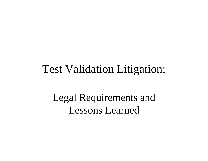#### Test Validation Litigation:

#### Legal Requirements and Lessons Learned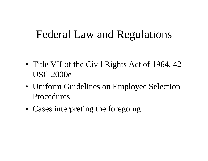#### Federal Law and Regulations

- Title VII of the Civil Rights Act of 1964, 42 USC 2000e
- Uniform Guidelines on Employee Selection Procedures
- Cases interpreting the foregoing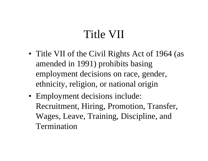## Title VII

- Title VII of the Civil Rights Act of 1964 (as amended in 1991) prohibits basing employment decisions on race, gender, ethnicity, religion, or national origin
- Employment decisions include: Recruitment, Hiring, Promotion, Transfer, Wages, Leave, Training, Discipline, and Termination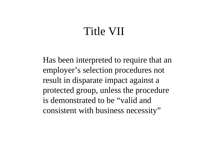#### Title VII

Has been interpreted to require that an employer's selection procedures not result in disparate impact against a protected group, unless the procedure is demonstrated to be "valid and consistent with business necessity"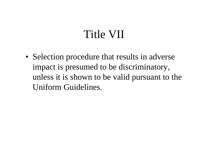## Title VII

• Selection procedure that results in adverse impact is presumed to be discriminatory, unless it is shown to be valid pursuant to the Uniform Guidelines.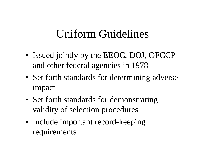## Uniform Guidelines

- Issued jointly by the EEOC, DOJ, OFCCP and other federal agencies in 1978
- Set forth standards for determining adverse impact
- Set forth standards for demonstrating validity of selection procedures
- Include important record-keeping requirements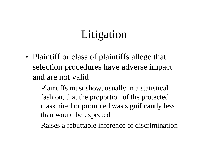- Plaintiff or class of plaintiffs allege that selection procedures have adverse impact and are not valid
	- – Plaintiffs must show, usually in a statistical fashion, that the proportion of the protected class hired or promoted was significantly less than would be expected
	- Raises a rebuttable inference of discrimination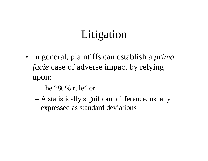- In general, plaintiffs can establish a *prima facie* case of adverse impact by relying upon:
	- The "80% rule" or
	- A statistically significant difference, usually expressed as standard deviations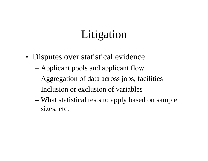- Disputes over statistical evidence
	- Applicant pools and applicant flow
	- Aggregation of data across jobs, facilities
	- Inclusion or exclusion of variables
	- – What statistical tests to apply based on sample sizes, etc.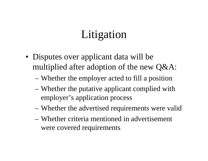- Disputes over applicant data will be multiplied after adoption of the new Q&A:
	- Whether the employer acted to fill a position
	- Whether the putative applicant complied with employer's application process
	- Whether the advertised requirements were valid
	- Whether criteria mentioned in advertisement were covered requirements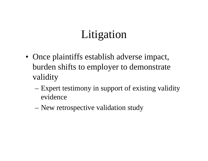- Once plaintiffs establish adverse impact, burden shifts to employer to demonstrate validity
	- – Expert testimony in support of existing validity evidence
	- New retrospective validation study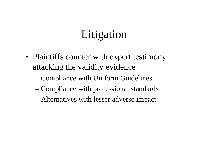- Plaintiffs counter with expert testimony attacking the validity evidence
	- Compliance with Uniform Guidelines
	- Compliance with professional standards
	- Alternatives with lesser adverse impact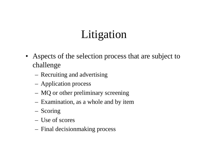- Aspects of the selection process that are subject to challenge
	- Recruiting and advertising
	- Application process
	- MQ or other preliminary screening
	- Examination, as a whole and by item
	- Scoring
	- Use of scores
	- Final decisionmaking process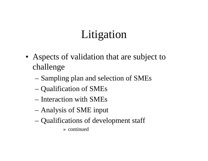- Aspects of validation that are subject to challenge
	- Sampling plan and selection of SMEs
	- Qualification of SMEs
	- Interaction with SMEs
	- –Analysis of SME input
	- –Qualifications of development staff

» continued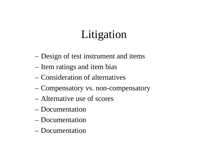- –Design of test instrument and items
- –Item ratings and item bias
- Consideration of alternatives
- –Compensatory vs. non-compensatory
- Alternative use of scores
- Documentation
- Documentation
- Documentation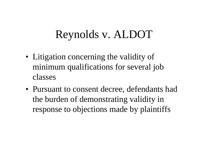## Reynolds v. ALDOT

- Litigation concerning the validity of minimum qualifications for several job classes
- Pursuant to consent decree, defendants had the burden of demonstrating validity in response to objections made by plaintiffs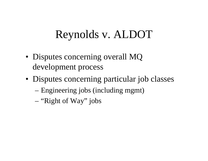## Reynolds v. ALDOT

- Disputes concerning overall MQ development process
- Disputes concerning particular job classes – Engineering jobs (including mgmt)
	- –"Right of Way" jobs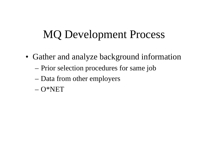- Gather and analyze background information
	- Prior selection procedures for same job
	- Data from other employers
	- O\*NET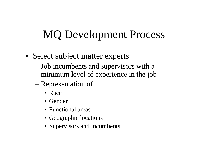- Select subject matter experts
	- Job incumbents and supervisors with a minimum level of experience in the job
	- Representation of
		- Race
		- Gender
		- Functional areas
		- Geographic locations
		- Supervisors and incumbents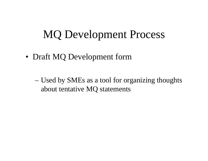• Draft MQ Development form

– Used by SMEs as a tool for organizing thoughts about tentative MQ statements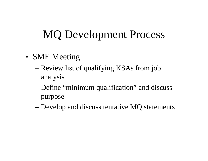- SME Meeting
	- Review list of qualifying KSAs from job analysis
	- –Define "minimum qualification" and discuss purpose
	- –Develop and discuss tentative MQ statements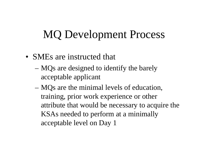- SMEs are instructed that
	- MQs are designed to identify the barely acceptable applicant
	- – MQs are the minimal levels of education, training, prior work experience or other attribute that would be necessary to acquire the KSAs needed to perform at a minimally acceptable level on Day 1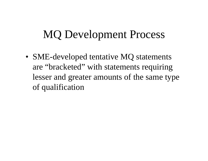• SME-developed tentative MQ statements are "bracketed" with statements requiring lesser and greater amounts of the same type of qualification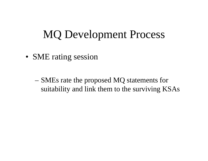• SME rating session

– SMEs rate the proposed MQ statements for suitability and link them to the surviving KSAs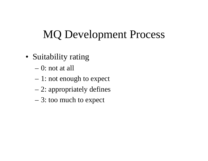- Suitability rating
	- 0: not at all
	- 1: not enough to expect
	- –2: appropriately defines
	- –3: too much to expect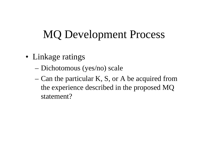- Linkage ratings
	- Dichotomous (yes/no) scale
	- Can the particular K, S, or A be acquired from the experience described in the proposed MQ statement?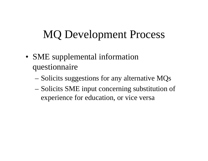- SME supplemental information questionnaire
	- Solicits suggestions for any alternative MQs
	- Solicits SME input concerning substitution of experience for education, or vice versa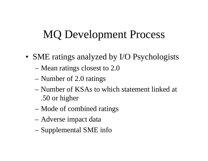- SME ratings analyzed by I/O Psychologists
	- Mean ratings closest to 2.0
	- Number of 2.0 ratings
	- Number of KSAs to which statement linked at .50 or higher
	- –Mode of combined ratings
	- –Adverse impact data
	- Supplemental SME info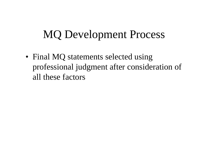• Final MQ statements selected using professional judgment after consideration of all these factors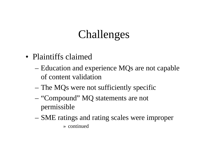#### Challenges

- Plaintiffs claimed
	- Education and experience MQs are not capable of content validation
	- –The MQs were not sufficiently specific
	- – "Compound" MQ statements are not permissible
	- – SME ratings and rating scales were improper » continued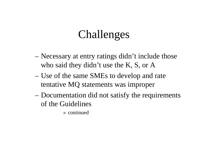#### Challenges

- – Necessary at entry ratings didn't include those who said they didn't use the K, S, or A
- – Use of the same SMEs to develop and rate tentative MQ statements was improper
- Documentation did not satisfy the requirements of the Guidelines

» continued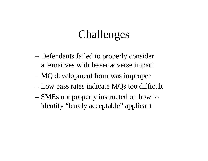#### Challenges

- – Defendants failed to properly consider alternatives with lesser adverse impact
- –MQ development form was improper
- –Low pass rates indicate MQs too difficult
- SMEs not properly instructed on how to identify "barely acceptable" applicant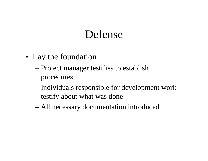#### Defense

- Lay the foundation
	- Project manager testifies to establish procedures
	- – Individuals responsible for development work testify about what was done
	- –All necessary documentation introduced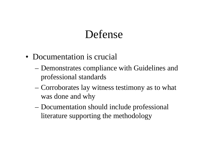#### Defense

- Documentation is crucial
	- Demonstrates compliance with Guidelines and professional standards
	- – Corroborates lay witness testimony as to what was done and why
	- – Documentation should include professional literature supporting the methodology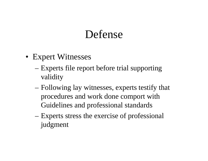#### Defense

- Expert Witnesses
	- Experts file report before trial supporting validity
	- – Following lay witnesses, experts testify that procedures and work done comport with Guidelines and professional standards
	- Experts stress the exercise of professional judgment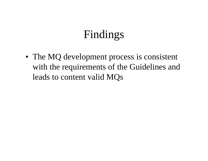• The MQ development process is consistent with the requirements of the Guidelines and leads to content valid MQs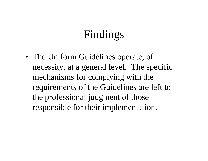• The Uniform Guidelines operate, of necessity, at a general level. The specific mechanisms for complying with the requirements of the Guidelines are left to the professional judgment of those responsible for their implementation.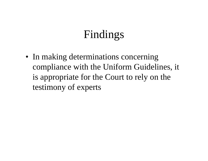• In making determinations concerning compliance with the Uniform Guidelines, it is appropriate for the Court to rely on the testimony of experts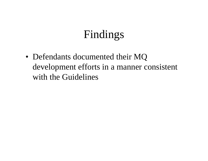• Defendants documented their MQ development efforts in a manner consistent with the Guidelines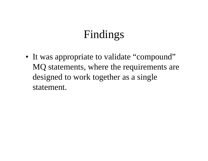• It was appropriate to validate "compound" MQ statements, where the requirements are designed to work together as a single statement.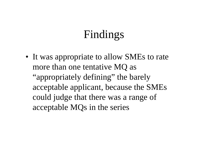• It was appropriate to allow SMEs to rate more than one tentative MQ as "appropriately defining" the barely acceptable applicant, because the SMEs could judge that there was a range of acceptable MQs in the series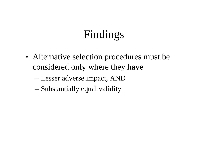- Alternative selection procedures must be considered only where they have
	- Lesser adverse impact, AND
	- Substantially equal validity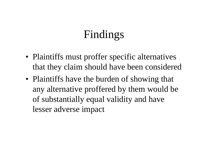- Plaintiffs must proffer specific alternatives that they claim should have been considered
- Plaintiffs have the burden of showing that any alternative proffered by them would be of substantially equal validity and have lesser adverse impact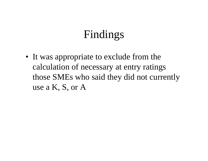• It was appropriate to exclude from the calculation of necessary at entry ratings those SMEs who said they did not currently use a K, S, or A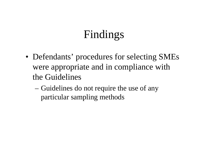- Defendants' procedures for selecting SMEs were appropriate and in compliance with the Guidelines
	- – Guidelines do not require the use of any particular sampling methods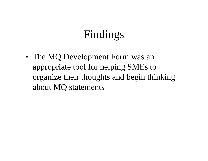• The MQ Development Form was an appropriate tool for helping SMEs to organize their thoughts and begin thinking about MQ statements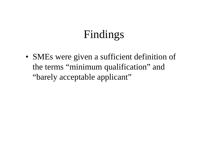• SMEs were given a sufficient definition of the terms "minimum qualification" and "barely acceptable applicant"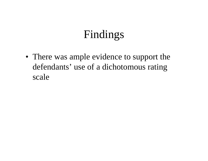• There was ample evidence to support the defendants' use of a dichotomous rating scale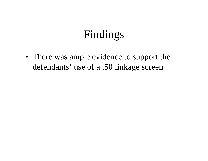• There was ample evidence to support the defendants' use of a .50 linkage screen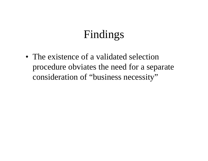• The existence of a validated selection procedure obviates the need for a separate consideration of "business necessity"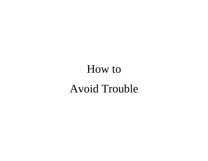# How to Avoid Trouble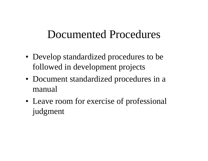- Develop standardized procedures to be followed in development projects
- Document standardized procedures in a manual
- Leave room for exercise of professional judgment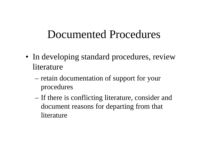- In developing standard procedures, review literature
	- retain documentation of support for your procedures
	- If there is conflicting literature, consider and document reasons for departing from that literature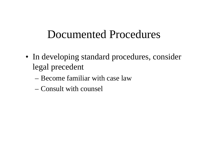- In developing standard procedures, consider legal precedent
	- Become familiar with case law
	- Consult with counsel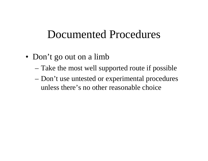- Don't go out on a limb
	- Take the most well supported route if possible
	- Don't use untested or experimental procedures unless there's no other reasonable choice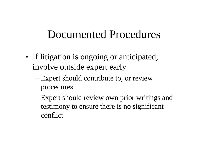- If litigation is ongoing or anticipated, involve outside expert early
	- Expert should contribute to, or review procedures
	- Expert should review own prior writings and testimony to ensure there is no significant conflict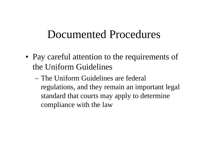- Pay careful attention to the requirements of the Uniform Guidelines
	- The Uniform Guidelines are federal regulations, and they remain an important legal standard that courts may apply to determine compliance with the law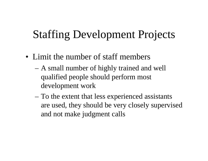## Staffing Development Projects

- Limit the number of staff members
	- A small number of highly trained and well qualified people should perform most development work
	- – To the extent that less experienced assistants are used, they should be very closely supervised and not make judgment calls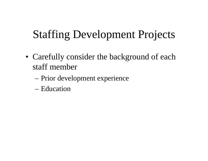# Staffing Development Projects

- Carefully consider the background of each staff member
	- Prior development experience
	- Education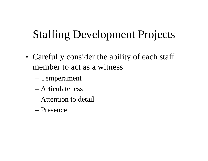# Staffing Development Projects

- Carefully consider the ability of each staff member to act as a witness
	- Temperament
	- Articulateness
	- Attention to detail
	- Presence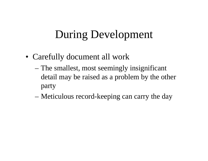- Carefully document all work
	- The smallest, most seemingly insignificant detail may be raised as a problem by the other party
	- –Meticulous record-keeping can carry the day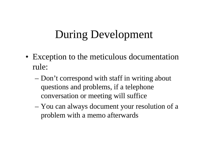- Exception to the meticulous documentation rule:
	- Don't correspond with staff in writing about questions and problems, if a telephone conversation or meeting will suffice
	- – You can always document your resolution of a problem with a memo afterwards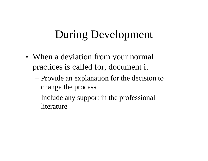- When a deviation from your normal practices is called for, document it
	- Provide an explanation for the decision to change the process
	- Include any support in the professional literature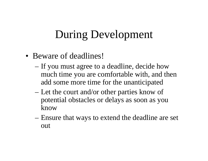- Beware of deadlines!
	- If you must agree to a deadline, decide how much time you are comfortable with, and then add some more time for the unanticipated
	- Let the court and/or other parties know of potential obstacles or delays as soon as you know
	- Ensure that ways to extend the deadline are set out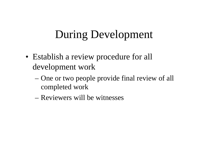- Establish a review procedure for all development work
	- One or two people provide final review of all completed work
	- Reviewers will be witnesses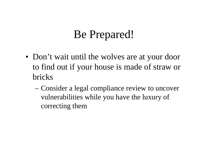# Be Prepared!

- Don't wait until the wolves are at your door to find out if your house is made of straw or bricks
	- – Consider a legal compliance review to uncover vulnerabilities while you have the luxury of correcting them